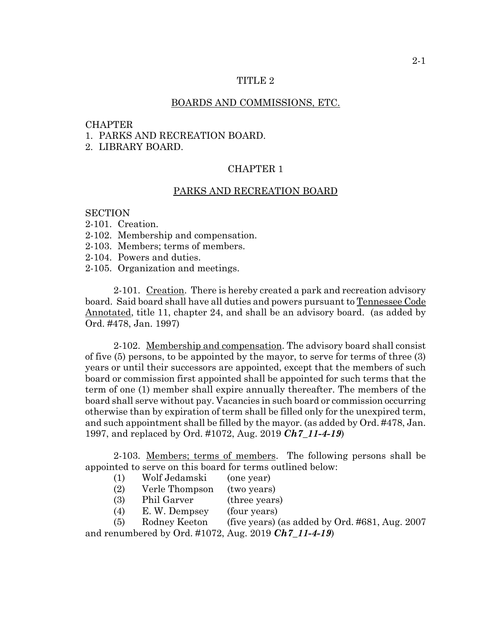### TITLE 2

### BOARDS AND COMMISSIONS, ETC.

## **CHAPTER**

## 1. PARKS AND RECREATION BOARD.

2. LIBRARY BOARD.

# CHAPTER 1

## PARKS AND RECREATION BOARD

## **SECTION**

- 2-101. Creation.
- 2-102. Membership and compensation.
- 2-103. Members; terms of members.
- 2-104. Powers and duties.
- 2-105. Organization and meetings.

2-101. Creation. There is hereby created a park and recreation advisory board. Said board shall have all duties and powers pursuant to Tennessee Code Annotated, title 11, chapter 24, and shall be an advisory board. (as added by Ord. #478, Jan. 1997)

2-102. Membership and compensation. The advisory board shall consist of five (5) persons, to be appointed by the mayor, to serve for terms of three (3) years or until their successors are appointed, except that the members of such board or commission first appointed shall be appointed for such terms that the term of one (1) member shall expire annually thereafter. The members of the board shall serve without pay. Vacancies in such board or commission occurring otherwise than by expiration of term shall be filled only for the unexpired term, and such appointment shall be filled by the mayor. (as added by Ord. #478, Jan. 1997, and replaced by Ord. #1072, Aug. 2019 *Ch7\_11-4-19*)

2-103. Members; terms of members. The following persons shall be appointed to serve on this board for terms outlined below:

- (1) Wolf Jedamski (one year)
- (2) Verle Thompson (two years)
- (3) Phil Garver (three years)
- (4) E. W. Dempsey (four years)

(5) Rodney Keeton (five years) (as added by Ord. #681, Aug. 2007 and renumbered by Ord. #1072, Aug. 2019 *Ch7\_11-4-19*)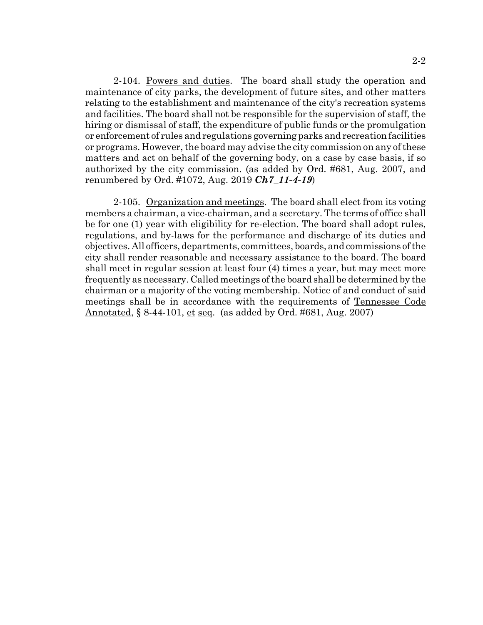2-104. Powers and duties. The board shall study the operation and maintenance of city parks, the development of future sites, and other matters relating to the establishment and maintenance of the city's recreation systems and facilities. The board shall not be responsible for the supervision of staff, the hiring or dismissal of staff, the expenditure of public funds or the promulgation or enforcement of rules and regulations governing parks and recreation facilities or programs. However, the board may advise the city commission on any of these matters and act on behalf of the governing body, on a case by case basis, if so authorized by the city commission. (as added by Ord. #681, Aug. 2007, and renumbered by Ord. #1072, Aug. 2019 *Ch7\_11-4-19*)

2-105. Organization and meetings. The board shall elect from its voting members a chairman, a vice-chairman, and a secretary. The terms of office shall be for one (1) year with eligibility for re-election. The board shall adopt rules, regulations, and by-laws for the performance and discharge of its duties and objectives. All officers, departments, committees, boards, and commissions of the city shall render reasonable and necessary assistance to the board. The board shall meet in regular session at least four (4) times a year, but may meet more frequently as necessary. Called meetings of the board shall be determined by the chairman or a majority of the voting membership. Notice of and conduct of said meetings shall be in accordance with the requirements of Tennessee Code Annotated, § 8-44-101, et seq. (as added by Ord. #681, Aug. 2007)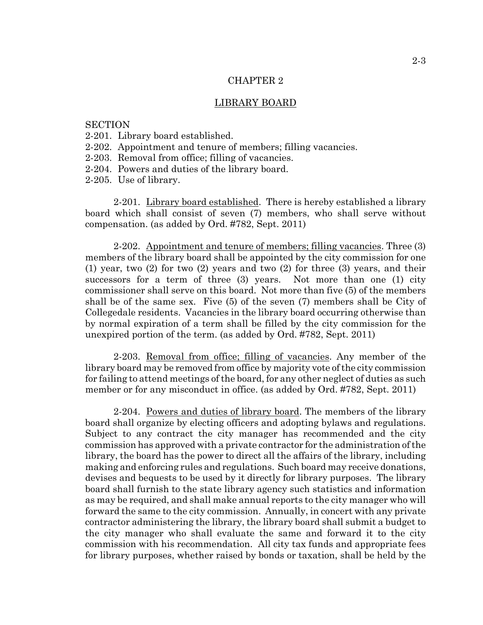#### CHAPTER 2

#### LIBRARY BOARD

## **SECTION**

- 2-201. Library board established.
- 2-202. Appointment and tenure of members; filling vacancies.
- 2-203. Removal from office; filling of vacancies.
- 2-204. Powers and duties of the library board.
- 2-205. Use of library.

2-201. Library board established. There is hereby established a library board which shall consist of seven (7) members, who shall serve without compensation. (as added by Ord. #782, Sept. 2011)

2-202. Appointment and tenure of members; filling vacancies. Three (3) members of the library board shall be appointed by the city commission for one (1) year, two (2) for two (2) years and two (2) for three (3) years, and their successors for a term of three (3) years. Not more than one (1) city commissioner shall serve on this board. Not more than five (5) of the members shall be of the same sex. Five (5) of the seven (7) members shall be City of Collegedale residents. Vacancies in the library board occurring otherwise than by normal expiration of a term shall be filled by the city commission for the unexpired portion of the term. (as added by Ord. #782, Sept. 2011)

2-203. Removal from office; filling of vacancies. Any member of the library board may be removed from office by majority vote of the city commission for failing to attend meetings of the board, for any other neglect of duties as such member or for any misconduct in office. (as added by Ord. #782, Sept. 2011)

2-204. Powers and duties of library board. The members of the library board shall organize by electing officers and adopting bylaws and regulations. Subject to any contract the city manager has recommended and the city commission has approved with a private contractor for the administration of the library, the board has the power to direct all the affairs of the library, including making and enforcing rules and regulations. Such board may receive donations, devises and bequests to be used by it directly for library purposes. The library board shall furnish to the state library agency such statistics and information as may be required, and shall make annual reports to the city manager who will forward the same to the city commission. Annually, in concert with any private contractor administering the library, the library board shall submit a budget to the city manager who shall evaluate the same and forward it to the city commission with his recommendation. All city tax funds and appropriate fees for library purposes, whether raised by bonds or taxation, shall be held by the